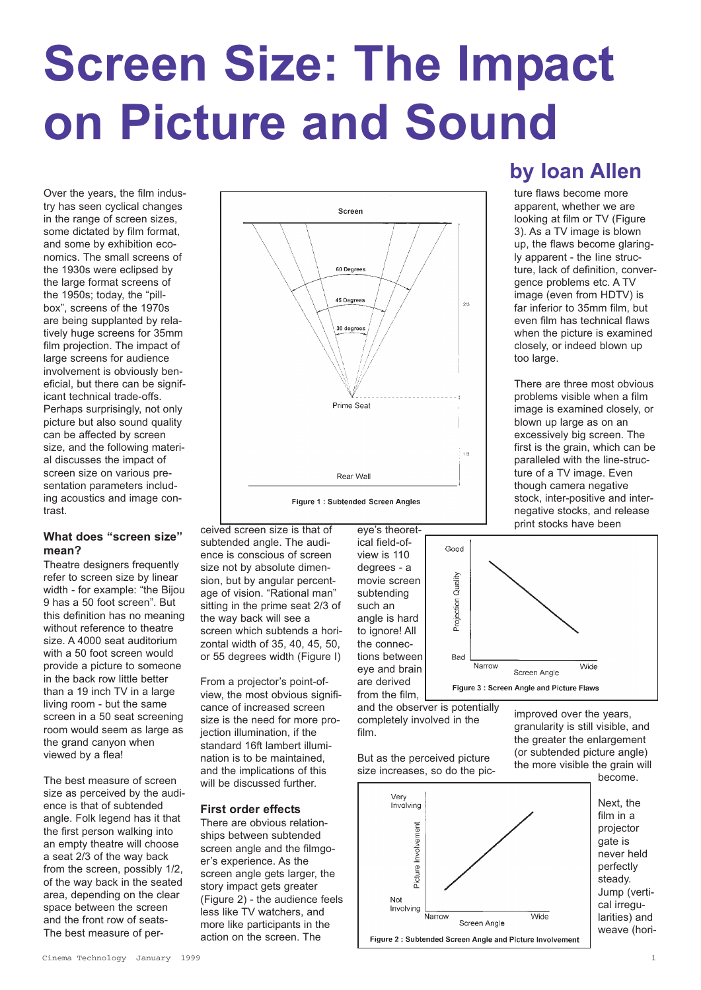# **Screen Size: The Impact on Picture and Sound**

Over the years, the film industry has seen cyclical changes in the range of screen sizes, some dictated by film format, and some by exhibition economics. The small screens of the 1930s were eclipsed by the large format screens of the 1950s; today, the "pillbox", screens of the 1970s are being supplanted by relatively huge screens for 35mm film projection. The impact of large screens for audience involvement is obviously beneficial, but there can be significant technical trade-offs. Perhaps surprisingly, not only picture but also sound quality can be affected by screen size, and the following material discusses the impact of screen size on various presentation parameters including acoustics and image contrast.

# **What does "screen size" mean?**

Theatre designers frequently refer to screen size by linear width - for example: "the Bijou 9 has a 50 foot screen". But this definition has no meaning without reference to theatre size. A 4000 seat auditorium with a 50 foot screen would provide a picture to someone in the back row little better than a 19 inch TV in a large living room - but the same screen in a 50 seat screening room would seem as large as the grand canyon when viewed by a flea!

The best measure of screen size as perceived by the audience is that of subtended angle. Folk legend has it that the first person walking into an empty theatre will choose a seat 2/3 of the way back from the screen, possibly 1/2, of the way back in the seated area, depending on the clear space between the screen and the front row of seats-The best measure of per-



ceived screen size is that of subtended angle. The audience is conscious of screen size not by absolute dimension, but by angular percentage of vision. "Rational man" sitting in the prime seat 2/3 of the way back will see a screen which subtends a horizontal width of 35, 40, 45, 50, or 55 degrees width (Figure I)

From a projector's point-ofview, the most obvious significance of increased screen size is the need for more projection illumination, if the standard 16ft lambert illumination is to be maintained, and the implications of this will be discussed further.

# **First order effects**

There are obvious relationships between subtended screen angle and the filmgoer's experience. As the screen angle gets larger, the story impact gets greater (Figure 2) - the audience feels less like TV watchers, and more like participants in the action on the screen. The



eye's theoret-



Good

Projection Quality

**Bad** 

Narrow

Screen Angle Figure 3: Screen Angle and Picture Flaws

film.

But as the perceived picture size increases, so do the pic-



**by Ioan Allen**

ture flaws become more apparent, whether we are looking at film or TV (Figure 3). As a TV image is blown up, the flaws become glaringly apparent - the Iine structure, lack of definition, convergence problems etc. A TV image (even from HDTV) is far inferior to 35mm film, but even film has technical flaws when the picture is examined closely, or indeed blown up too large.

There are three most obvious problems visible when a film image is examined closely, or blown up large as on an excessively big screen. The first is the grain, which can be paralleled with the line-structure of a TV image. Even though camera negative stock, inter-positive and internegative stocks, and release print stocks have been



Wide

Next, the film in a projector never held perfectly Jump (vertical irregularities) and weave (hori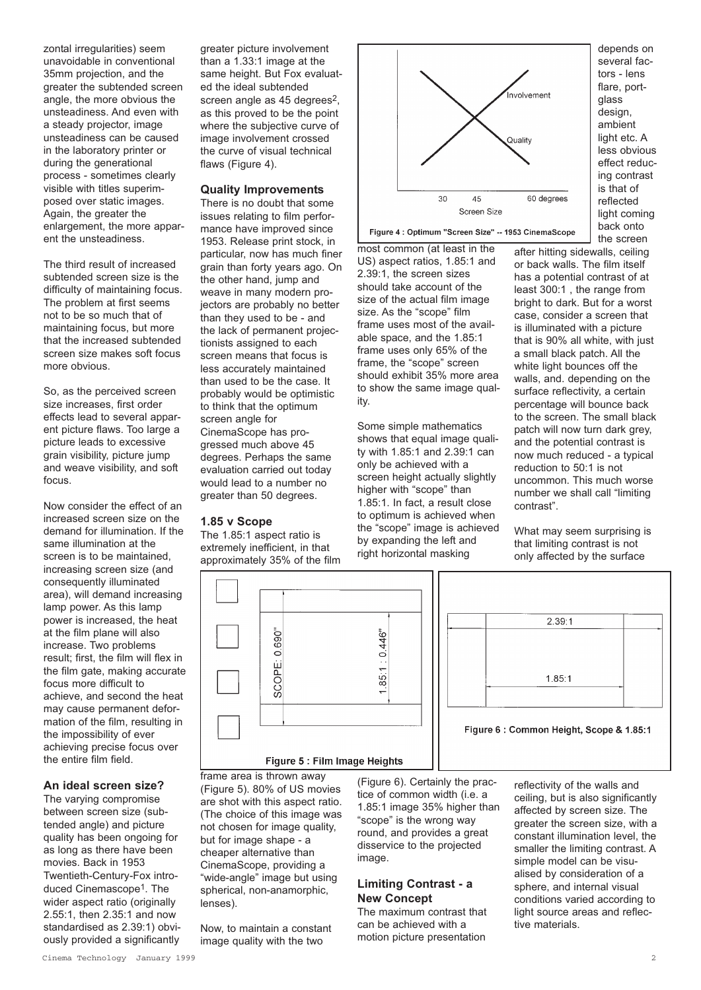zontal irregularities) seem unavoidable in conventional 35mm projection, and the greater the subtended screen angle, the more obvious the unsteadiness. And even with a steady projector, image unsteadiness can be caused in the laboratory printer or during the generational process - sometimes clearly visible with titles superimposed over static images. Again, the greater the enlargement, the more apparent the unsteadiness.

The third result of increased subtended screen size is the difficulty of maintaining focus. The problem at first seems not to be so much that of maintaining focus, but more that the increased subtended screen size makes soft focus more obvious.

So, as the perceived screen size increases, first order effects lead to several apparent picture flaws. Too large a picture leads to excessive grain visibility, picture jump and weave visibility, and soft focus.

Now consider the effect of an increased screen size on the demand for illumination. If the same illumination at the screen is to be maintained, increasing screen size (and consequently illuminated area), will demand increasing lamp power. As this lamp power is increased, the heat at the film plane will also increase. Two problems result; first, the film will flex in the film gate, making accurate focus more difficult to achieve, and second the heat may cause permanent deformation of the film, resulting in the impossibility of ever achieving precise focus over the entire film field.

# **An ideal screen size?**

The varying compromise between screen size (subtended angle) and picture quality has been ongoing for as long as there have been movies. Back in 1953 Twentieth-Century-Fox introduced Cinemascope<sup>1</sup>. The wider aspect ratio (originally 2.55:1, then 2.35:1 and now standardised as 2.39:1) obviously provided a significantly

greater picture involvement than a 1.33:1 image at the same height. But Fox evaluated the ideal subtended screen angle as 45 degrees<sup>2</sup>. as this proved to be the point where the subjective curve of image involvement crossed the curve of visual technical flaws (Figure 4).

## **Quality Improvements**

There is no doubt that some issues relating to film performance have improved since 1953. Release print stock, in particular, now has much finer grain than forty years ago. On the other hand, jump and weave in many modern projectors are probably no better than they used to be - and the lack of permanent projectionists assigned to each screen means that focus is less accurately maintained than used to be the case. It probably would be optimistic to think that the optimum screen angle for CinemaScope has progressed much above 45 degrees. Perhaps the same evaluation carried out today would lead to a number no greater than 50 degrees.

# **1.85 v Scope**

The 1.85:1 aspect ratio is extremely inefficient, in that approximately 35% of the film



Figure 4 : Optimum "Screen Size" -- 1953 CinemaScope

most common (at least in the US) aspect ratios, 1.85:1 and 2.39:1, the screen sizes should take account of the size of the actual film image size. As the "scope" film frame uses most of the available space, and the 1.85:1 frame uses only 65% of the frame, the "scope" screen should exhibit 35% more area to show the same image quality.

Some simple mathematics shows that equal image quality with 1.85:1 and 2.39:1 can only be achieved with a screen height actually slightly higher with "scope" than 1.85:1. In fact, a result close to optimum is achieved when the "scope" image is achieved by expanding the left and right horizontal masking

depends on several factors - lens flare, portglass design, ambient light etc. A less obvious effect reducing contrast is that of reflected light coming back onto the screen

after hitting sidewalls, ceiling or back walls. The film itself has a potential contrast of at least 300:1 , the range from bright to dark. But for a worst case, consider a screen that is illuminated with a picture that is 90% all white, with just a small black patch. All the white light bounces off the walls, and. depending on the surface reflectivity, a certain percentage will bounce back to the screen. The small black patch will now turn dark grey, and the potential contrast is now much reduced - a typical reduction to 50:1 is not uncommon. This much worse number we shall call "limiting contrast".

What may seem surprising is that limiting contrast is not only affected by the surface



frame area is thrown away (Figure 5). 80% of US movies are shot with this aspect ratio. (The choice of this image was not chosen for image quality, but for image shape - a cheaper alternative than CinemaScope, providing a "wide-angle" image but using spherical, non-anamorphic, lenses).

Now, to maintain a constant image quality with the two

(Figure 6). Certainly the practice of common width (i.e. a 1.85:1 image 35% higher than "scope" is the wrong way round, and provides a great disservice to the projected image.

# **Limiting Contrast - a New Concept**

The maximum contrast that can be achieved with a motion picture presentation

reflectivity of the walls and ceiling, but is also significantly affected by screen size. The greater the screen size, with a constant illumination level, the smaller the limiting contrast. A simple model can be visualised by consideration of a sphere, and internal visual conditions varied according to light source areas and reflective materials.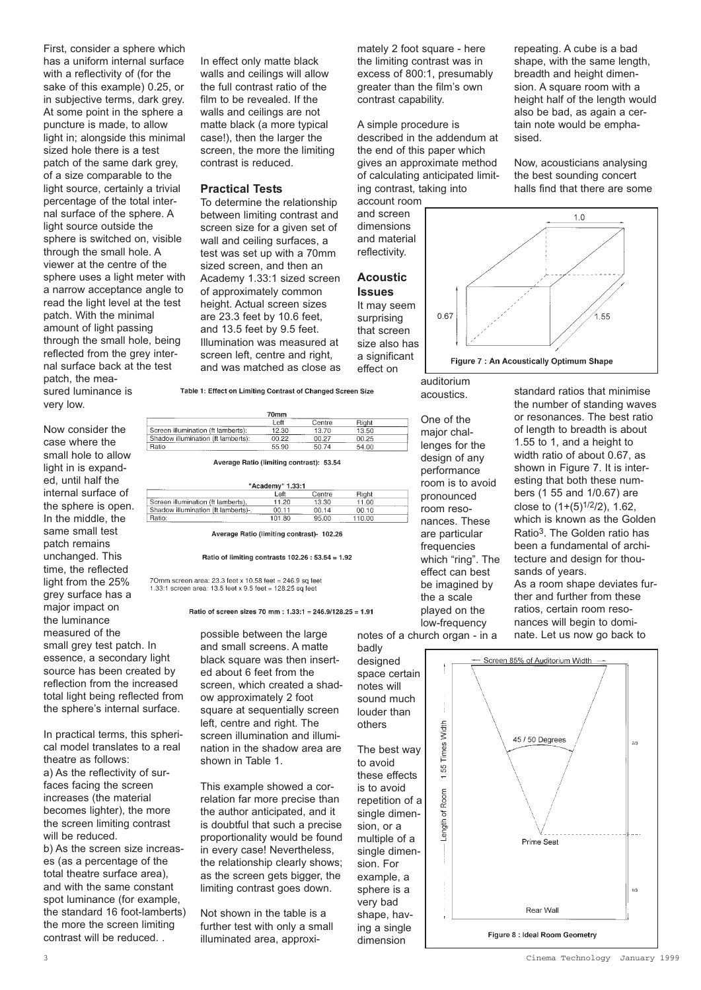First, consider a sphere which has a uniform internal surface with a reflectivity of (for the sake of this example) 0.25, or in subjective terms, dark grey. At some point in the sphere a puncture is made, to allow light in; alongside this minimal sized hole there is a test patch of the same dark grey. of a size comparable to the light source, certainly a trivial percentage of the total internal surface of the sphere. A light source outside the sphere is switched on, visible through the small hole. A viewer at the centre of the sphere uses a light meter with a narrow acceptance angle to read the light level at the test patch. With the minimal amount of light passing through the small hole, being reflected from the grey internal surface back at the test patch, the measured luminance is

very low.

Now consider the case where the small hole to allow light in is expanded, until half the internal surface of the sphere is open. In the middle, the same small test patch remains unchanged. This time, the reflected light from the 25% grey surface has a major impact on the luminance measured of the small grey test patch. In essence, a secondary light source has been created by reflection from the increased total light being reflected from the sphere's internal surface.

In practical terms, this spherical model translates to a real theatre as follows: a) As the reflectivity of surfaces facing the screen increases (the material becomes lighter), the more the screen limiting contrast will be reduced.

b) As the screen size increases (as a percentage of the total theatre surface area), and with the same constant spot luminance (for example, the standard 16 foot-lamberts) the more the screen limiting contrast will be reduced. .

In effect only matte black walls and ceilings will allow the full contrast ratio of the film to be revealed. If the walls and ceilings are not matte black (a more typical case!), then the larger the screen, the more the limiting contrast is reduced.

# **Practical Tests**

To determine the relationship between limiting contrast and screen size for a given set of wall and ceiling surfaces, a test was set up with a 70mm sized screen, and then an Academy 1.33:1 sized screen of approximately common height. Actual screen sizes are 23.3 feet by 10.6 feet, and 13.5 feet by 9.5 feet. Illumination was measured at screen left, centre and right, and was matched as close as

Table 1: Effect on Limiting Contrast of Changed Screen Size

| 70mm                               |       |        |       |  |  |
|------------------------------------|-------|--------|-------|--|--|
|                                    | Left  | Centre | Right |  |  |
| Screen illumination (ft lamberts): | 12.30 | 13.70  | 13.50 |  |  |
| Shadow illumination (ft lamberts): | 00.22 | 00.27  | 00.25 |  |  |
| Ratio<br>                          | 55.90 | 50.74  | 54.00 |  |  |

Average Ratio (limiting contrast): 53.54

| "Academy" 1.33:1                    |        |        |        |  |  |
|-------------------------------------|--------|--------|--------|--|--|
|                                     | Left   | Centre | Right  |  |  |
| Screen illumination (ft lamberts).  | 11.20  | 13.30  | 11.00  |  |  |
| Shadow illumination (ft lamberts)-. | 00.11  | 00.14  | 00.10  |  |  |
| Ratio:                              | 101.80 | 95.00  | 110.00 |  |  |

Average Ratio (limiting contrast)- 102.26

#### Ratio of limiting contrasts  $102.26 : 53.54 = 1.92$

70mm screen area: 23.3 feet x 10.58 feet = 246.9 sq feet 1.33:1 screen area: 13.5 feet x 9.5 feet = 128.25 sq feet

Ratio of screen sizes 70 mm : 1.33:1 = 246.9/128.25 = 1.91

possible between the large and small screens. A matte black square was then inserted about 6 feet from the screen, which created a shadow approximately 2 foot square at sequentially screen left, centre and right. The screen illumination and illumination in the shadow area are shown in Table 1.

This example showed a correlation far more precise than the author anticipated, and it is doubtful that such a precise proportionality would be found in every case! Nevertheless, the relationship clearly shows; as the screen gets bigger, the limiting contrast goes down.

Not shown in the table is a further test with only a small illuminated area, approximately 2 foot square - here the limiting contrast was in excess of 800:1, presumably greater than the film's own contrast capability.

A simple procedure is described in the addendum at the end of this paper which gives an approximate method of calculating anticipated limiting contrast, taking into account room

and screen dimensions and material reflectivity.

# **Acoustic Issues**

It may seem surprising that screen size also has a significant

effect on

auditorium acoustics.

One of the major challenges for the design of any performance room is to avoid pronounced room resonances. These are particular frequencies which "ring". The effect can best be imagined by the a scale played on the low-frequency

notes of a church organ - in a

repeating. A cube is a bad shape, with the same length, breadth and height dimension. A square room with a height half of the length would also be bad, as again a certain note would be emphasised.

Now, acousticians analysing the best sounding concert halls find that there are some



standard ratios that minimise the number of standing waves or resonances. The best ratio of length to breadth is about 1.55 to 1, and a height to width ratio of about 0.67, as shown in Figure 7. It is interesting that both these numbers (1 55 and 1/0.67) are close to (1+(5)1/2/2), 1.62, which is known as the Golden Ratio3. The Golden ratio has been a fundamental of architecture and design for thousands of years. As a room shape deviates further and further from these ratios, certain room resonances will begin to dominate. Let us now go back to